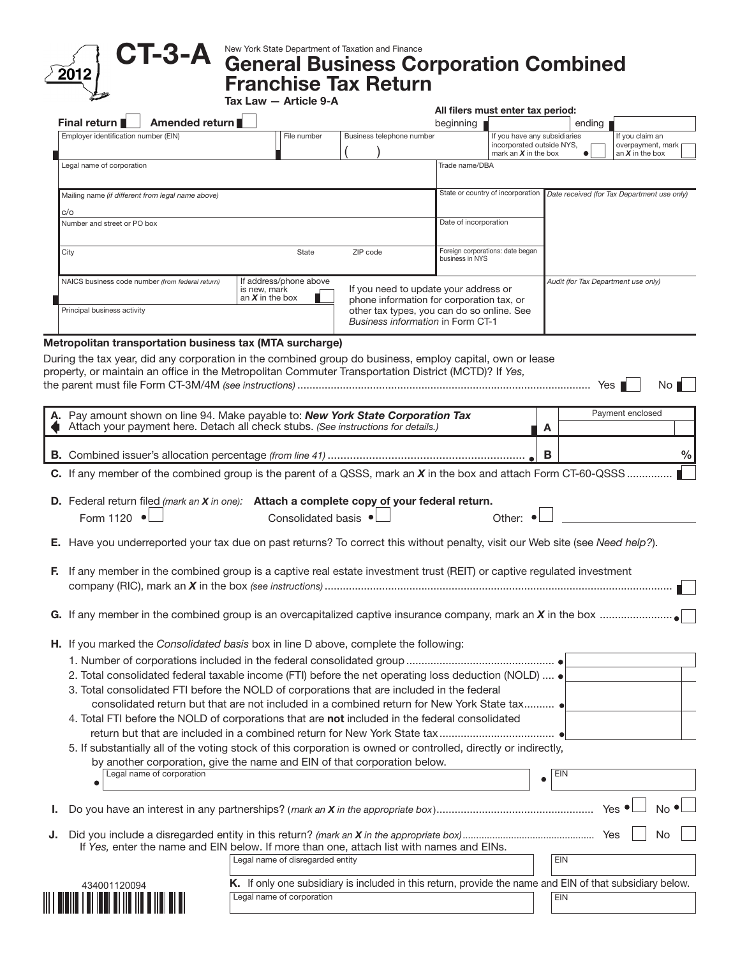

# CT-3-A New York State Department of Taxation and Finance<br>CT-3-A General Business Corporation Combined Franchise Tax Return

Tax Law — Article 9-A

| Amended return<br>beginning<br>ending<br>File number<br>Business telephone number<br>If you have any subsidiaries<br>If you claim an<br>incorporated outside NYS,<br>overpayment, mark<br>mark an $X$ in the box<br>an $\boldsymbol{X}$ in the box<br>٠<br>Legal name of corporation<br>Trade name/DBA<br>State or country of incorporation<br>Date received (for Tax Department use only)<br>c/o<br>Date of incorporation<br>Foreign corporations: date began<br>State<br>ZIP code<br>business in NYS<br>If address/phone above<br>Audit (for Tax Department use only)<br>If you need to update your address or<br>is new, mark<br>an $X$ in the box<br>phone information for corporation tax, or<br>other tax types, you can do so online. See<br><b>Business information in Form CT-1</b><br>Metropolitan transportation business tax (MTA surcharge)<br>During the tax year, did any corporation in the combined group do business, employ capital, own or lease<br>property, or maintain an office in the Metropolitan Commuter Transportation District (MCTD)? If Yes,<br>Payment enclosed<br>Pay amount shown on line 94. Make payable to: New York State Corporation Tax<br>Attach your payment here. Detach all check stubs. (See instructions for details.)<br>A<br>B<br>C. If any member of the combined group is the parent of a QSSS, mark an X in the box and attach Form CT-60-QSSS<br>D. Federal return filed (mark an X in one): Attach a complete copy of your federal return.<br>Form 1120 •<br>Consolidated basis •<br>Other: •<br>E. Have you underreported your tax due on past returns? To correct this without penalty, visit our Web site (see Need help?).<br>F. If any member in the combined group is a captive real estate investment trust (REIT) or captive regulated investment<br>H. If you marked the Consolidated basis box in line D above, complete the following:<br>2. Total consolidated federal taxable income (FTI) before the net operating loss deduction (NOLD)  •<br>3. Total consolidated FTI before the NOLD of corporations that are included in the federal<br>consolidated return but that are not included in a combined return for New York State tax ●<br>4. Total FTI before the NOLD of corporations that are not included in the federal consolidated<br>5. If substantially all of the voting stock of this corporation is owned or controlled, directly or indirectly,<br>by another corporation, give the name and EIN of that corporation below.<br>Legal name of corporation<br><b>EIN</b><br>$\bullet$<br>Yes <sup>•</sup><br>No<br>If Yes, enter the name and EIN below. If more than one, attach list with names and EINs.<br>Legal name of disregarded entity<br><b>EIN</b><br>K. If only one subsidiary is included in this return, provide the name and EIN of that subsidiary below.<br>434001120094<br>Legal name of corporation<br>EIN |                                                   |  | All filers must enter tax period: |  |                |
|---------------------------------------------------------------------------------------------------------------------------------------------------------------------------------------------------------------------------------------------------------------------------------------------------------------------------------------------------------------------------------------------------------------------------------------------------------------------------------------------------------------------------------------------------------------------------------------------------------------------------------------------------------------------------------------------------------------------------------------------------------------------------------------------------------------------------------------------------------------------------------------------------------------------------------------------------------------------------------------------------------------------------------------------------------------------------------------------------------------------------------------------------------------------------------------------------------------------------------------------------------------------------------------------------------------------------------------------------------------------------------------------------------------------------------------------------------------------------------------------------------------------------------------------------------------------------------------------------------------------------------------------------------------------------------------------------------------------------------------------------------------------------------------------------------------------------------------------------------------------------------------------------------------------------------------------------------------------------------------------------------------------------------------------------------------------------------------------------------------------------------------------------------------------------------------------------------------------------------------------------------------------------------------------------------------------------------------------------------------------------------------------------------------------------------------------------------------------------------------------------------------------------------------------------------------------------------------------------------------------------------------------------------------------------------------------------------------------------------------------------------------------------------------------------------------------------------------------------------------------------------------------------------------|---------------------------------------------------|--|-----------------------------------|--|----------------|
|                                                                                                                                                                                                                                                                                                                                                                                                                                                                                                                                                                                                                                                                                                                                                                                                                                                                                                                                                                                                                                                                                                                                                                                                                                                                                                                                                                                                                                                                                                                                                                                                                                                                                                                                                                                                                                                                                                                                                                                                                                                                                                                                                                                                                                                                                                                                                                                                                                                                                                                                                                                                                                                                                                                                                                                                                                                                                                               | Final return II                                   |  |                                   |  |                |
|                                                                                                                                                                                                                                                                                                                                                                                                                                                                                                                                                                                                                                                                                                                                                                                                                                                                                                                                                                                                                                                                                                                                                                                                                                                                                                                                                                                                                                                                                                                                                                                                                                                                                                                                                                                                                                                                                                                                                                                                                                                                                                                                                                                                                                                                                                                                                                                                                                                                                                                                                                                                                                                                                                                                                                                                                                                                                                               | Employer identification number (EIN)              |  |                                   |  |                |
|                                                                                                                                                                                                                                                                                                                                                                                                                                                                                                                                                                                                                                                                                                                                                                                                                                                                                                                                                                                                                                                                                                                                                                                                                                                                                                                                                                                                                                                                                                                                                                                                                                                                                                                                                                                                                                                                                                                                                                                                                                                                                                                                                                                                                                                                                                                                                                                                                                                                                                                                                                                                                                                                                                                                                                                                                                                                                                               |                                                   |  |                                   |  |                |
|                                                                                                                                                                                                                                                                                                                                                                                                                                                                                                                                                                                                                                                                                                                                                                                                                                                                                                                                                                                                                                                                                                                                                                                                                                                                                                                                                                                                                                                                                                                                                                                                                                                                                                                                                                                                                                                                                                                                                                                                                                                                                                                                                                                                                                                                                                                                                                                                                                                                                                                                                                                                                                                                                                                                                                                                                                                                                                               |                                                   |  |                                   |  |                |
|                                                                                                                                                                                                                                                                                                                                                                                                                                                                                                                                                                                                                                                                                                                                                                                                                                                                                                                                                                                                                                                                                                                                                                                                                                                                                                                                                                                                                                                                                                                                                                                                                                                                                                                                                                                                                                                                                                                                                                                                                                                                                                                                                                                                                                                                                                                                                                                                                                                                                                                                                                                                                                                                                                                                                                                                                                                                                                               | Mailing name (if different from legal name above) |  |                                   |  |                |
|                                                                                                                                                                                                                                                                                                                                                                                                                                                                                                                                                                                                                                                                                                                                                                                                                                                                                                                                                                                                                                                                                                                                                                                                                                                                                                                                                                                                                                                                                                                                                                                                                                                                                                                                                                                                                                                                                                                                                                                                                                                                                                                                                                                                                                                                                                                                                                                                                                                                                                                                                                                                                                                                                                                                                                                                                                                                                                               |                                                   |  |                                   |  |                |
|                                                                                                                                                                                                                                                                                                                                                                                                                                                                                                                                                                                                                                                                                                                                                                                                                                                                                                                                                                                                                                                                                                                                                                                                                                                                                                                                                                                                                                                                                                                                                                                                                                                                                                                                                                                                                                                                                                                                                                                                                                                                                                                                                                                                                                                                                                                                                                                                                                                                                                                                                                                                                                                                                                                                                                                                                                                                                                               | Number and street or PO box                       |  |                                   |  |                |
|                                                                                                                                                                                                                                                                                                                                                                                                                                                                                                                                                                                                                                                                                                                                                                                                                                                                                                                                                                                                                                                                                                                                                                                                                                                                                                                                                                                                                                                                                                                                                                                                                                                                                                                                                                                                                                                                                                                                                                                                                                                                                                                                                                                                                                                                                                                                                                                                                                                                                                                                                                                                                                                                                                                                                                                                                                                                                                               |                                                   |  |                                   |  |                |
|                                                                                                                                                                                                                                                                                                                                                                                                                                                                                                                                                                                                                                                                                                                                                                                                                                                                                                                                                                                                                                                                                                                                                                                                                                                                                                                                                                                                                                                                                                                                                                                                                                                                                                                                                                                                                                                                                                                                                                                                                                                                                                                                                                                                                                                                                                                                                                                                                                                                                                                                                                                                                                                                                                                                                                                                                                                                                                               | City                                              |  |                                   |  |                |
|                                                                                                                                                                                                                                                                                                                                                                                                                                                                                                                                                                                                                                                                                                                                                                                                                                                                                                                                                                                                                                                                                                                                                                                                                                                                                                                                                                                                                                                                                                                                                                                                                                                                                                                                                                                                                                                                                                                                                                                                                                                                                                                                                                                                                                                                                                                                                                                                                                                                                                                                                                                                                                                                                                                                                                                                                                                                                                               |                                                   |  |                                   |  |                |
|                                                                                                                                                                                                                                                                                                                                                                                                                                                                                                                                                                                                                                                                                                                                                                                                                                                                                                                                                                                                                                                                                                                                                                                                                                                                                                                                                                                                                                                                                                                                                                                                                                                                                                                                                                                                                                                                                                                                                                                                                                                                                                                                                                                                                                                                                                                                                                                                                                                                                                                                                                                                                                                                                                                                                                                                                                                                                                               | NAICS business code number (from federal return)  |  |                                   |  |                |
|                                                                                                                                                                                                                                                                                                                                                                                                                                                                                                                                                                                                                                                                                                                                                                                                                                                                                                                                                                                                                                                                                                                                                                                                                                                                                                                                                                                                                                                                                                                                                                                                                                                                                                                                                                                                                                                                                                                                                                                                                                                                                                                                                                                                                                                                                                                                                                                                                                                                                                                                                                                                                                                                                                                                                                                                                                                                                                               |                                                   |  |                                   |  |                |
|                                                                                                                                                                                                                                                                                                                                                                                                                                                                                                                                                                                                                                                                                                                                                                                                                                                                                                                                                                                                                                                                                                                                                                                                                                                                                                                                                                                                                                                                                                                                                                                                                                                                                                                                                                                                                                                                                                                                                                                                                                                                                                                                                                                                                                                                                                                                                                                                                                                                                                                                                                                                                                                                                                                                                                                                                                                                                                               | Principal business activity                       |  |                                   |  |                |
|                                                                                                                                                                                                                                                                                                                                                                                                                                                                                                                                                                                                                                                                                                                                                                                                                                                                                                                                                                                                                                                                                                                                                                                                                                                                                                                                                                                                                                                                                                                                                                                                                                                                                                                                                                                                                                                                                                                                                                                                                                                                                                                                                                                                                                                                                                                                                                                                                                                                                                                                                                                                                                                                                                                                                                                                                                                                                                               |                                                   |  |                                   |  |                |
|                                                                                                                                                                                                                                                                                                                                                                                                                                                                                                                                                                                                                                                                                                                                                                                                                                                                                                                                                                                                                                                                                                                                                                                                                                                                                                                                                                                                                                                                                                                                                                                                                                                                                                                                                                                                                                                                                                                                                                                                                                                                                                                                                                                                                                                                                                                                                                                                                                                                                                                                                                                                                                                                                                                                                                                                                                                                                                               |                                                   |  |                                   |  |                |
|                                                                                                                                                                                                                                                                                                                                                                                                                                                                                                                                                                                                                                                                                                                                                                                                                                                                                                                                                                                                                                                                                                                                                                                                                                                                                                                                                                                                                                                                                                                                                                                                                                                                                                                                                                                                                                                                                                                                                                                                                                                                                                                                                                                                                                                                                                                                                                                                                                                                                                                                                                                                                                                                                                                                                                                                                                                                                                               |                                                   |  |                                   |  |                |
|                                                                                                                                                                                                                                                                                                                                                                                                                                                                                                                                                                                                                                                                                                                                                                                                                                                                                                                                                                                                                                                                                                                                                                                                                                                                                                                                                                                                                                                                                                                                                                                                                                                                                                                                                                                                                                                                                                                                                                                                                                                                                                                                                                                                                                                                                                                                                                                                                                                                                                                                                                                                                                                                                                                                                                                                                                                                                                               |                                                   |  |                                   |  |                |
|                                                                                                                                                                                                                                                                                                                                                                                                                                                                                                                                                                                                                                                                                                                                                                                                                                                                                                                                                                                                                                                                                                                                                                                                                                                                                                                                                                                                                                                                                                                                                                                                                                                                                                                                                                                                                                                                                                                                                                                                                                                                                                                                                                                                                                                                                                                                                                                                                                                                                                                                                                                                                                                                                                                                                                                                                                                                                                               |                                                   |  |                                   |  | No             |
|                                                                                                                                                                                                                                                                                                                                                                                                                                                                                                                                                                                                                                                                                                                                                                                                                                                                                                                                                                                                                                                                                                                                                                                                                                                                                                                                                                                                                                                                                                                                                                                                                                                                                                                                                                                                                                                                                                                                                                                                                                                                                                                                                                                                                                                                                                                                                                                                                                                                                                                                                                                                                                                                                                                                                                                                                                                                                                               |                                                   |  |                                   |  |                |
|                                                                                                                                                                                                                                                                                                                                                                                                                                                                                                                                                                                                                                                                                                                                                                                                                                                                                                                                                                                                                                                                                                                                                                                                                                                                                                                                                                                                                                                                                                                                                                                                                                                                                                                                                                                                                                                                                                                                                                                                                                                                                                                                                                                                                                                                                                                                                                                                                                                                                                                                                                                                                                                                                                                                                                                                                                                                                                               |                                                   |  |                                   |  |                |
|                                                                                                                                                                                                                                                                                                                                                                                                                                                                                                                                                                                                                                                                                                                                                                                                                                                                                                                                                                                                                                                                                                                                                                                                                                                                                                                                                                                                                                                                                                                                                                                                                                                                                                                                                                                                                                                                                                                                                                                                                                                                                                                                                                                                                                                                                                                                                                                                                                                                                                                                                                                                                                                                                                                                                                                                                                                                                                               |                                                   |  |                                   |  |                |
|                                                                                                                                                                                                                                                                                                                                                                                                                                                                                                                                                                                                                                                                                                                                                                                                                                                                                                                                                                                                                                                                                                                                                                                                                                                                                                                                                                                                                                                                                                                                                                                                                                                                                                                                                                                                                                                                                                                                                                                                                                                                                                                                                                                                                                                                                                                                                                                                                                                                                                                                                                                                                                                                                                                                                                                                                                                                                                               |                                                   |  |                                   |  |                |
|                                                                                                                                                                                                                                                                                                                                                                                                                                                                                                                                                                                                                                                                                                                                                                                                                                                                                                                                                                                                                                                                                                                                                                                                                                                                                                                                                                                                                                                                                                                                                                                                                                                                                                                                                                                                                                                                                                                                                                                                                                                                                                                                                                                                                                                                                                                                                                                                                                                                                                                                                                                                                                                                                                                                                                                                                                                                                                               |                                                   |  |                                   |  | $\%$           |
|                                                                                                                                                                                                                                                                                                                                                                                                                                                                                                                                                                                                                                                                                                                                                                                                                                                                                                                                                                                                                                                                                                                                                                                                                                                                                                                                                                                                                                                                                                                                                                                                                                                                                                                                                                                                                                                                                                                                                                                                                                                                                                                                                                                                                                                                                                                                                                                                                                                                                                                                                                                                                                                                                                                                                                                                                                                                                                               |                                                   |  |                                   |  |                |
|                                                                                                                                                                                                                                                                                                                                                                                                                                                                                                                                                                                                                                                                                                                                                                                                                                                                                                                                                                                                                                                                                                                                                                                                                                                                                                                                                                                                                                                                                                                                                                                                                                                                                                                                                                                                                                                                                                                                                                                                                                                                                                                                                                                                                                                                                                                                                                                                                                                                                                                                                                                                                                                                                                                                                                                                                                                                                                               |                                                   |  |                                   |  |                |
|                                                                                                                                                                                                                                                                                                                                                                                                                                                                                                                                                                                                                                                                                                                                                                                                                                                                                                                                                                                                                                                                                                                                                                                                                                                                                                                                                                                                                                                                                                                                                                                                                                                                                                                                                                                                                                                                                                                                                                                                                                                                                                                                                                                                                                                                                                                                                                                                                                                                                                                                                                                                                                                                                                                                                                                                                                                                                                               |                                                   |  |                                   |  |                |
|                                                                                                                                                                                                                                                                                                                                                                                                                                                                                                                                                                                                                                                                                                                                                                                                                                                                                                                                                                                                                                                                                                                                                                                                                                                                                                                                                                                                                                                                                                                                                                                                                                                                                                                                                                                                                                                                                                                                                                                                                                                                                                                                                                                                                                                                                                                                                                                                                                                                                                                                                                                                                                                                                                                                                                                                                                                                                                               |                                                   |  |                                   |  |                |
|                                                                                                                                                                                                                                                                                                                                                                                                                                                                                                                                                                                                                                                                                                                                                                                                                                                                                                                                                                                                                                                                                                                                                                                                                                                                                                                                                                                                                                                                                                                                                                                                                                                                                                                                                                                                                                                                                                                                                                                                                                                                                                                                                                                                                                                                                                                                                                                                                                                                                                                                                                                                                                                                                                                                                                                                                                                                                                               |                                                   |  |                                   |  |                |
|                                                                                                                                                                                                                                                                                                                                                                                                                                                                                                                                                                                                                                                                                                                                                                                                                                                                                                                                                                                                                                                                                                                                                                                                                                                                                                                                                                                                                                                                                                                                                                                                                                                                                                                                                                                                                                                                                                                                                                                                                                                                                                                                                                                                                                                                                                                                                                                                                                                                                                                                                                                                                                                                                                                                                                                                                                                                                                               |                                                   |  |                                   |  |                |
|                                                                                                                                                                                                                                                                                                                                                                                                                                                                                                                                                                                                                                                                                                                                                                                                                                                                                                                                                                                                                                                                                                                                                                                                                                                                                                                                                                                                                                                                                                                                                                                                                                                                                                                                                                                                                                                                                                                                                                                                                                                                                                                                                                                                                                                                                                                                                                                                                                                                                                                                                                                                                                                                                                                                                                                                                                                                                                               |                                                   |  |                                   |  |                |
|                                                                                                                                                                                                                                                                                                                                                                                                                                                                                                                                                                                                                                                                                                                                                                                                                                                                                                                                                                                                                                                                                                                                                                                                                                                                                                                                                                                                                                                                                                                                                                                                                                                                                                                                                                                                                                                                                                                                                                                                                                                                                                                                                                                                                                                                                                                                                                                                                                                                                                                                                                                                                                                                                                                                                                                                                                                                                                               |                                                   |  |                                   |  |                |
|                                                                                                                                                                                                                                                                                                                                                                                                                                                                                                                                                                                                                                                                                                                                                                                                                                                                                                                                                                                                                                                                                                                                                                                                                                                                                                                                                                                                                                                                                                                                                                                                                                                                                                                                                                                                                                                                                                                                                                                                                                                                                                                                                                                                                                                                                                                                                                                                                                                                                                                                                                                                                                                                                                                                                                                                                                                                                                               |                                                   |  |                                   |  |                |
|                                                                                                                                                                                                                                                                                                                                                                                                                                                                                                                                                                                                                                                                                                                                                                                                                                                                                                                                                                                                                                                                                                                                                                                                                                                                                                                                                                                                                                                                                                                                                                                                                                                                                                                                                                                                                                                                                                                                                                                                                                                                                                                                                                                                                                                                                                                                                                                                                                                                                                                                                                                                                                                                                                                                                                                                                                                                                                               |                                                   |  |                                   |  |                |
|                                                                                                                                                                                                                                                                                                                                                                                                                                                                                                                                                                                                                                                                                                                                                                                                                                                                                                                                                                                                                                                                                                                                                                                                                                                                                                                                                                                                                                                                                                                                                                                                                                                                                                                                                                                                                                                                                                                                                                                                                                                                                                                                                                                                                                                                                                                                                                                                                                                                                                                                                                                                                                                                                                                                                                                                                                                                                                               |                                                   |  |                                   |  |                |
|                                                                                                                                                                                                                                                                                                                                                                                                                                                                                                                                                                                                                                                                                                                                                                                                                                                                                                                                                                                                                                                                                                                                                                                                                                                                                                                                                                                                                                                                                                                                                                                                                                                                                                                                                                                                                                                                                                                                                                                                                                                                                                                                                                                                                                                                                                                                                                                                                                                                                                                                                                                                                                                                                                                                                                                                                                                                                                               |                                                   |  |                                   |  |                |
|                                                                                                                                                                                                                                                                                                                                                                                                                                                                                                                                                                                                                                                                                                                                                                                                                                                                                                                                                                                                                                                                                                                                                                                                                                                                                                                                                                                                                                                                                                                                                                                                                                                                                                                                                                                                                                                                                                                                                                                                                                                                                                                                                                                                                                                                                                                                                                                                                                                                                                                                                                                                                                                                                                                                                                                                                                                                                                               |                                                   |  |                                   |  |                |
|                                                                                                                                                                                                                                                                                                                                                                                                                                                                                                                                                                                                                                                                                                                                                                                                                                                                                                                                                                                                                                                                                                                                                                                                                                                                                                                                                                                                                                                                                                                                                                                                                                                                                                                                                                                                                                                                                                                                                                                                                                                                                                                                                                                                                                                                                                                                                                                                                                                                                                                                                                                                                                                                                                                                                                                                                                                                                                               |                                                   |  |                                   |  |                |
|                                                                                                                                                                                                                                                                                                                                                                                                                                                                                                                                                                                                                                                                                                                                                                                                                                                                                                                                                                                                                                                                                                                                                                                                                                                                                                                                                                                                                                                                                                                                                                                                                                                                                                                                                                                                                                                                                                                                                                                                                                                                                                                                                                                                                                                                                                                                                                                                                                                                                                                                                                                                                                                                                                                                                                                                                                                                                                               |                                                   |  |                                   |  |                |
|                                                                                                                                                                                                                                                                                                                                                                                                                                                                                                                                                                                                                                                                                                                                                                                                                                                                                                                                                                                                                                                                                                                                                                                                                                                                                                                                                                                                                                                                                                                                                                                                                                                                                                                                                                                                                                                                                                                                                                                                                                                                                                                                                                                                                                                                                                                                                                                                                                                                                                                                                                                                                                                                                                                                                                                                                                                                                                               |                                                   |  |                                   |  | $No$ $\bullet$ |
|                                                                                                                                                                                                                                                                                                                                                                                                                                                                                                                                                                                                                                                                                                                                                                                                                                                                                                                                                                                                                                                                                                                                                                                                                                                                                                                                                                                                                                                                                                                                                                                                                                                                                                                                                                                                                                                                                                                                                                                                                                                                                                                                                                                                                                                                                                                                                                                                                                                                                                                                                                                                                                                                                                                                                                                                                                                                                                               |                                                   |  |                                   |  |                |
|                                                                                                                                                                                                                                                                                                                                                                                                                                                                                                                                                                                                                                                                                                                                                                                                                                                                                                                                                                                                                                                                                                                                                                                                                                                                                                                                                                                                                                                                                                                                                                                                                                                                                                                                                                                                                                                                                                                                                                                                                                                                                                                                                                                                                                                                                                                                                                                                                                                                                                                                                                                                                                                                                                                                                                                                                                                                                                               |                                                   |  |                                   |  |                |
|                                                                                                                                                                                                                                                                                                                                                                                                                                                                                                                                                                                                                                                                                                                                                                                                                                                                                                                                                                                                                                                                                                                                                                                                                                                                                                                                                                                                                                                                                                                                                                                                                                                                                                                                                                                                                                                                                                                                                                                                                                                                                                                                                                                                                                                                                                                                                                                                                                                                                                                                                                                                                                                                                                                                                                                                                                                                                                               |                                                   |  |                                   |  |                |
|                                                                                                                                                                                                                                                                                                                                                                                                                                                                                                                                                                                                                                                                                                                                                                                                                                                                                                                                                                                                                                                                                                                                                                                                                                                                                                                                                                                                                                                                                                                                                                                                                                                                                                                                                                                                                                                                                                                                                                                                                                                                                                                                                                                                                                                                                                                                                                                                                                                                                                                                                                                                                                                                                                                                                                                                                                                                                                               |                                                   |  |                                   |  |                |
|                                                                                                                                                                                                                                                                                                                                                                                                                                                                                                                                                                                                                                                                                                                                                                                                                                                                                                                                                                                                                                                                                                                                                                                                                                                                                                                                                                                                                                                                                                                                                                                                                                                                                                                                                                                                                                                                                                                                                                                                                                                                                                                                                                                                                                                                                                                                                                                                                                                                                                                                                                                                                                                                                                                                                                                                                                                                                                               |                                                   |  |                                   |  |                |
|                                                                                                                                                                                                                                                                                                                                                                                                                                                                                                                                                                                                                                                                                                                                                                                                                                                                                                                                                                                                                                                                                                                                                                                                                                                                                                                                                                                                                                                                                                                                                                                                                                                                                                                                                                                                                                                                                                                                                                                                                                                                                                                                                                                                                                                                                                                                                                                                                                                                                                                                                                                                                                                                                                                                                                                                                                                                                                               |                                                   |  |                                   |  |                |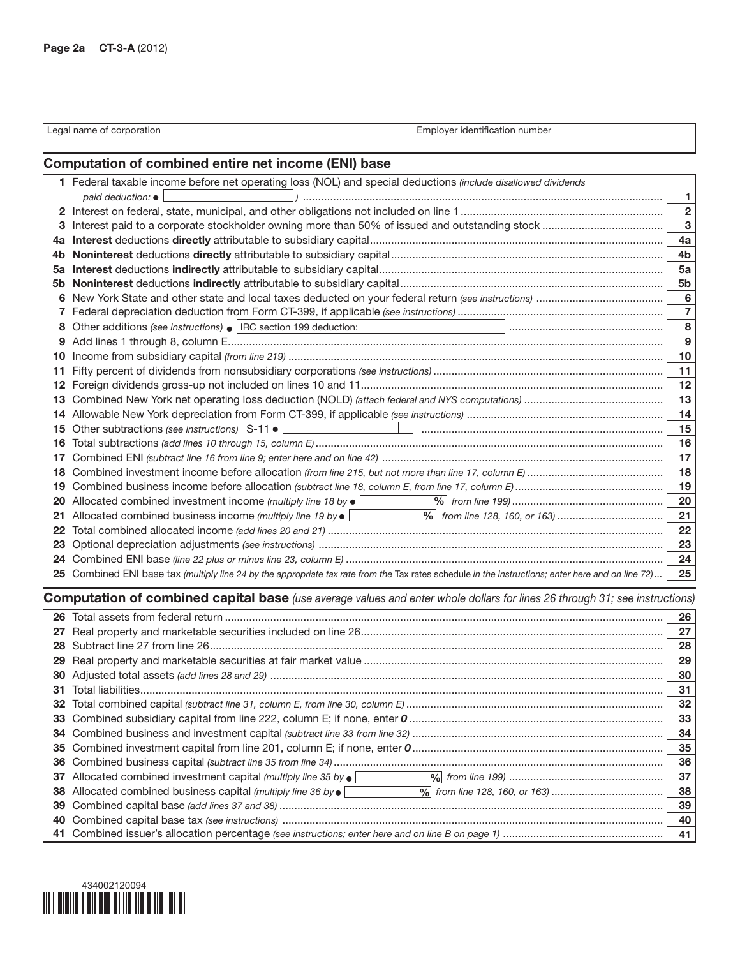|     | Legal name of corporation<br>Employer identification number                                                                                        |                         |
|-----|----------------------------------------------------------------------------------------------------------------------------------------------------|-------------------------|
|     |                                                                                                                                                    |                         |
|     | Computation of combined entire net income (ENI) base                                                                                               |                         |
|     | 1 Federal taxable income before net operating loss (NOL) and special deductions (include disallowed dividends                                      |                         |
|     | paid deduction: $\bullet$                                                                                                                          | 1                       |
|     |                                                                                                                                                    | $\overline{\mathbf{2}}$ |
|     |                                                                                                                                                    | $\mathbf 3$             |
|     |                                                                                                                                                    | 4a                      |
|     |                                                                                                                                                    | 4b                      |
|     |                                                                                                                                                    | 5a                      |
|     |                                                                                                                                                    | 5 <sub>b</sub>          |
|     |                                                                                                                                                    | 6                       |
|     |                                                                                                                                                    | $\overline{7}$          |
|     | 8 Other additions (see instructions) .   IRC section 199 deduction:                                                                                | 8                       |
|     |                                                                                                                                                    | 9                       |
|     |                                                                                                                                                    | 10                      |
| 11  |                                                                                                                                                    | 11                      |
|     |                                                                                                                                                    | 12                      |
|     |                                                                                                                                                    | 13                      |
|     |                                                                                                                                                    | 14                      |
|     | 15 Other subtractions (see instructions) S-11 .                                                                                                    | 15                      |
| 16. |                                                                                                                                                    | 16                      |
| 17  |                                                                                                                                                    | 17                      |
|     |                                                                                                                                                    | 18                      |
|     |                                                                                                                                                    | 19                      |
|     | 20 Allocated combined investment income (multiply line 18 by $\bullet$                                                                             | 20                      |
|     | 21 Allocated combined business income (multiply line 19 by $\bullet$                                                                               | 21                      |
| 22  |                                                                                                                                                    | 22<br>23                |
| 23  |                                                                                                                                                    | 24                      |
|     | 25 Combined ENI base tax (multiply line 24 by the appropriate tax rate from the Tax rates schedule in the instructions; enter here and on line 72) | 25                      |
|     |                                                                                                                                                    |                         |
|     | <b>Computation of combined capital base</b> (use average values and enter whole dollars for lines 26 through 31; see instructions)                 |                         |
|     |                                                                                                                                                    | 26                      |
| 27  |                                                                                                                                                    | 27                      |
|     |                                                                                                                                                    | 28                      |
|     |                                                                                                                                                    | 29                      |
|     |                                                                                                                                                    | 30                      |
| 31  |                                                                                                                                                    | 31                      |
| 32  |                                                                                                                                                    | 32                      |
| 33  |                                                                                                                                                    | 33                      |
| 34  |                                                                                                                                                    | 34                      |
| 35  |                                                                                                                                                    | 35                      |
| 36  |                                                                                                                                                    | 36                      |
| 37  | Allocated combined investment capital (multiply line 35 by $\bullet$                                                                               | 37                      |
| 38  | Allocated combined business capital (multiply line 36 by $\bullet$                                                                                 | 38                      |
| 39  |                                                                                                                                                    | 39                      |
| 40  |                                                                                                                                                    | 40                      |
|     |                                                                                                                                                    | 41                      |

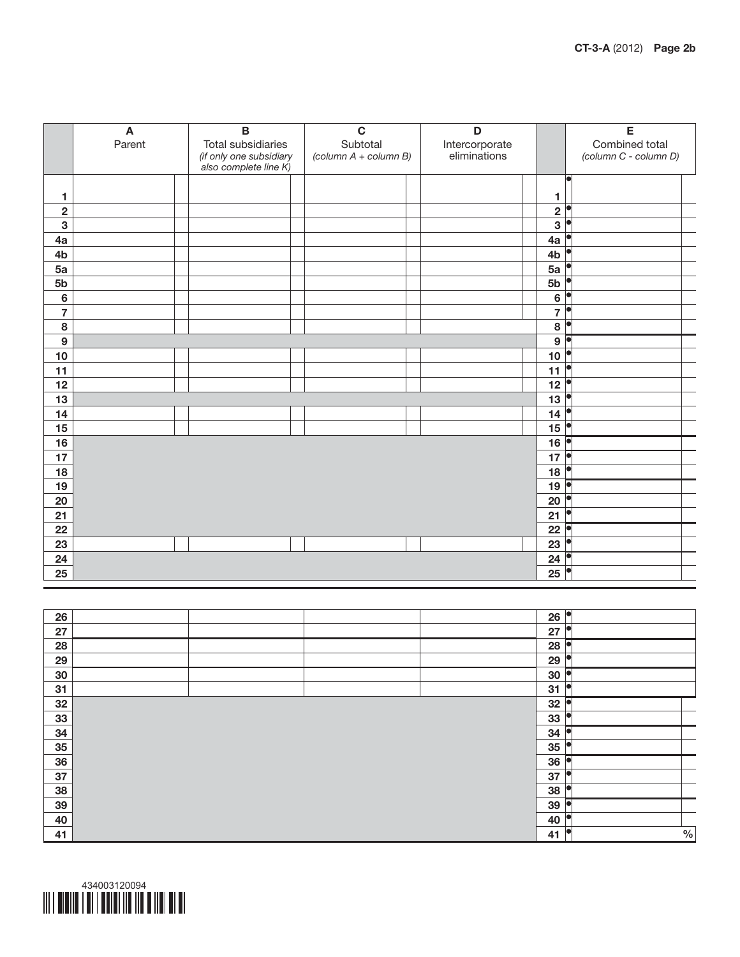$\frac{1}{\sqrt{6}}$ 

|                            | Parent | Total subsidiaries<br>(if only one subsidiary<br>also complete line K) | Subtotal<br>$\left(\text{column }A+\text{column }B\right)$ | Intercorporate<br>eliminations |                               | Combined total<br>(column C - column D) |
|----------------------------|--------|------------------------------------------------------------------------|------------------------------------------------------------|--------------------------------|-------------------------------|-----------------------------------------|
|                            |        |                                                                        |                                                            |                                | lo                            |                                         |
| 1                          |        |                                                                        |                                                            |                                | 1                             |                                         |
| $\mathbf 2$<br>$\mathbf 3$ |        |                                                                        |                                                            |                                | $2^{\bullet}$<br>$3^{\circ}$  |                                         |
| 4a                         |        |                                                                        |                                                            |                                | 4a                            |                                         |
| 4b                         |        |                                                                        |                                                            |                                | 4 <sub>b</sub>                |                                         |
| 5a                         |        |                                                                        |                                                            |                                | 5a                            |                                         |
| 5 <sub>b</sub>             |        |                                                                        |                                                            |                                | 5 <sub>b</sub>                |                                         |
| $\bf 6$                    |        |                                                                        |                                                            |                                | $  \bullet$<br>$\bf 6$        |                                         |
| $\overline{\mathbf{7}}$    |        |                                                                        |                                                            |                                | 7 <sup>o</sup>                |                                         |
| $\bf8$                     |        |                                                                        |                                                            |                                | 8                             |                                         |
| $\boldsymbol{9}$           |        |                                                                        |                                                            |                                | 9                             |                                         |
| $10$                       |        |                                                                        |                                                            |                                | $10$                          |                                         |
| 11                         |        |                                                                        |                                                            |                                | 11                            |                                         |
| 12                         |        |                                                                        |                                                            |                                | $12$ $\bullet$                |                                         |
| $13$                       |        |                                                                        |                                                            |                                | $13$                          |                                         |
| 14                         |        |                                                                        |                                                            |                                | 14                            |                                         |
| 15                         |        |                                                                        |                                                            |                                | $  \bullet$<br>15             |                                         |
| 16                         |        |                                                                        |                                                            |                                | $16$ $\overline{\phantom{0}}$ |                                         |
| $17$                       |        |                                                                        |                                                            |                                | $17$ $\blacksquare$<br>18     |                                         |
| $18$<br>$19$               |        |                                                                        |                                                            |                                | $19$ $\blacksquare$           |                                         |
| 20                         |        |                                                                        |                                                            |                                | ${\bf 20}$                    |                                         |
| 21                         |        |                                                                        |                                                            |                                | þ<br>21                       |                                         |
| 22                         |        |                                                                        |                                                            |                                | $22$ $\overline{\phantom{1}}$ |                                         |
| 23                         |        |                                                                        |                                                            |                                | $  \bullet$<br>23             |                                         |
| 24                         |        |                                                                        |                                                            |                                | 24                            |                                         |
| 25                         |        |                                                                        |                                                            |                                | 25                            |                                         |
|                            |        |                                                                        |                                                            |                                |                               |                                         |
|                            |        |                                                                        |                                                            |                                |                               |                                         |
| 26                         |        |                                                                        |                                                            |                                | 26                            |                                         |
| 27                         |        |                                                                        |                                                            |                                | P<br>27                       |                                         |
| 28                         |        |                                                                        |                                                            |                                | 28                            |                                         |
| 29<br>$30\,$               |        |                                                                        |                                                            |                                | 29<br>$30$ $\bullet$          |                                         |
| 31                         |        |                                                                        |                                                            |                                | 31                            |                                         |
| 32                         |        |                                                                        |                                                            |                                | $32$ $\bullet$                |                                         |
| 33                         |        |                                                                        |                                                            |                                | P<br>33                       |                                         |
| 34                         |        |                                                                        |                                                            |                                | 34                            |                                         |
| 35                         |        |                                                                        |                                                            |                                | $\blacktriangleright$<br>35   |                                         |
| 36                         |        |                                                                        |                                                            |                                | 36                            |                                         |
| 37                         |        |                                                                        |                                                            |                                | $  \bullet$<br>37             |                                         |
| 38                         |        |                                                                        |                                                            |                                | $\blacktriangleright$<br>38   |                                         |
| 39                         |        |                                                                        |                                                            |                                | 39                            |                                         |
| 40                         |        |                                                                        |                                                            |                                | 40                            |                                         |

A B C D D E

41

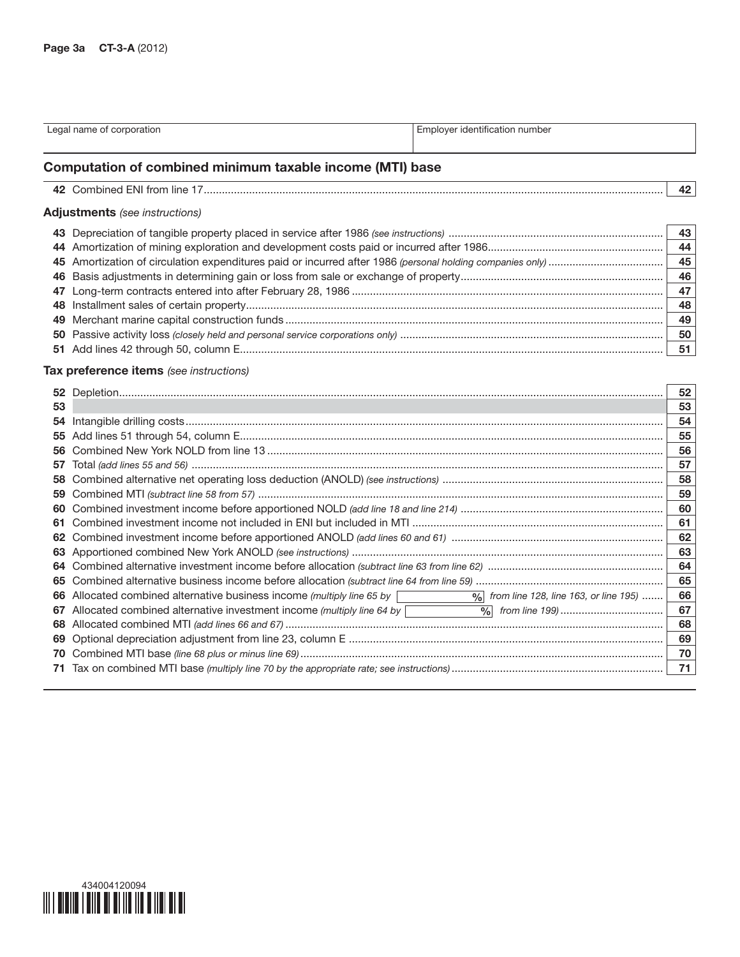|    | Legal name of corporation                                                | Employer identification number                      |    |
|----|--------------------------------------------------------------------------|-----------------------------------------------------|----|
|    | Computation of combined minimum taxable income (MTI) base                |                                                     |    |
|    |                                                                          |                                                     | 42 |
|    | <b>Adjustments</b> (see instructions)                                    |                                                     |    |
|    |                                                                          |                                                     | 43 |
|    |                                                                          |                                                     | 44 |
|    |                                                                          |                                                     | 45 |
|    |                                                                          |                                                     | 46 |
|    |                                                                          |                                                     | 47 |
|    |                                                                          |                                                     | 48 |
|    |                                                                          |                                                     | 49 |
|    |                                                                          |                                                     | 50 |
|    |                                                                          |                                                     | 51 |
|    | Tax preference items (see instructions)                                  |                                                     |    |
|    |                                                                          |                                                     | 52 |
| 53 |                                                                          |                                                     | 53 |
| 54 |                                                                          |                                                     | 54 |
|    |                                                                          |                                                     | 55 |
| 56 |                                                                          |                                                     | 56 |
| 57 |                                                                          |                                                     | 57 |
| 58 |                                                                          |                                                     | 58 |
| 59 |                                                                          |                                                     | 59 |
| 60 |                                                                          |                                                     | 60 |
| 61 |                                                                          |                                                     | 61 |
| 62 |                                                                          |                                                     | 62 |
|    |                                                                          |                                                     | 63 |
|    |                                                                          |                                                     | 64 |
| 65 |                                                                          |                                                     | 65 |
|    | 66 Allocated combined alternative business income (multiply line 65 by [ | $\frac{1}{2}$ from line 128, line 163, or line 195) | 66 |
|    | 67 Allocated combined alternative investment income (multiply line 64 by |                                                     | 67 |
|    |                                                                          |                                                     | 68 |
|    |                                                                          |                                                     | 69 |
|    |                                                                          |                                                     | 70 |
|    |                                                                          |                                                     | 71 |

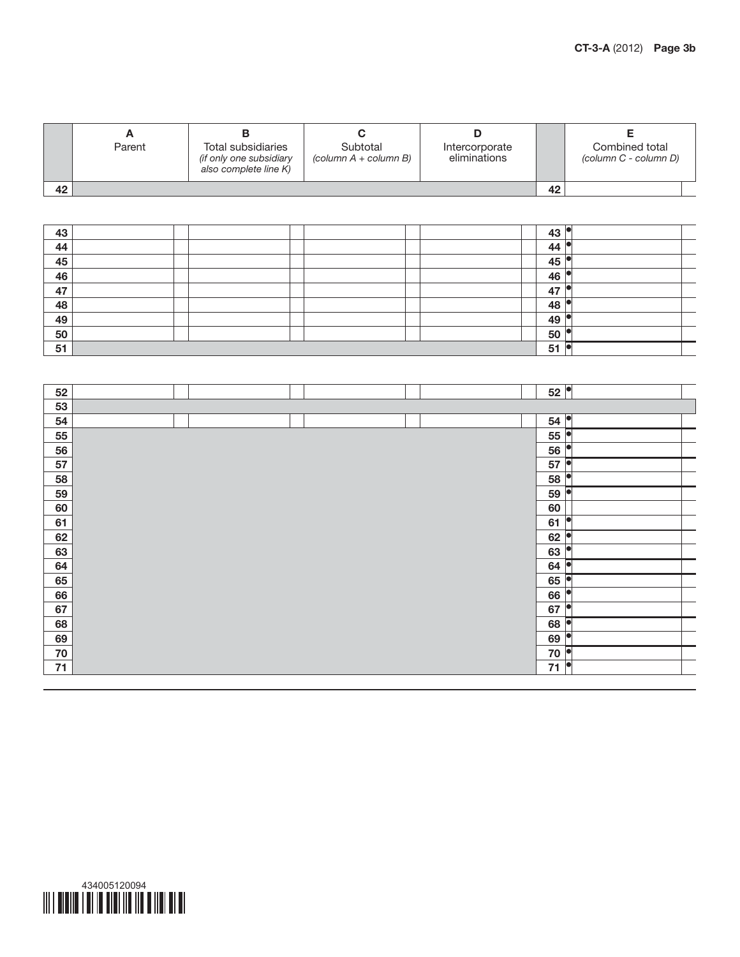|    | Parent | Total subsidiaries<br><i>(if only one subsidiary)</i><br>also complete line K) | Subtotal<br>(column $A$ + column B) | Intercorporate<br>eliminations |    | Combined total<br>(column C - column D) |  |
|----|--------|--------------------------------------------------------------------------------|-------------------------------------|--------------------------------|----|-----------------------------------------|--|
| 42 |        |                                                                                |                                     |                                | 42 |                                         |  |

| 43 |  |  |  | 43 |  |
|----|--|--|--|----|--|
| 44 |  |  |  | 44 |  |
| 45 |  |  |  | 45 |  |
| 46 |  |  |  | 46 |  |
| 47 |  |  |  | 47 |  |
| 48 |  |  |  | 48 |  |
| 49 |  |  |  | 49 |  |
| 50 |  |  |  | 50 |  |
| 51 |  |  |  | 51 |  |

| 52   |  |  |  | 52         |    |
|------|--|--|--|------------|----|
| 53   |  |  |  |            |    |
| 54   |  |  |  | 54         | o  |
| 55   |  |  |  | 55         |    |
| 56   |  |  |  | 56         |    |
| 57   |  |  |  | 57         | le |
| 58   |  |  |  | 58         |    |
| 59   |  |  |  | 59         | Ō  |
| 60   |  |  |  | 60         |    |
| 61   |  |  |  | 61         |    |
| 62   |  |  |  | 62         |    |
| 63   |  |  |  | 63         |    |
| 64   |  |  |  | 64         |    |
| 65   |  |  |  | 65         | دا |
| 66   |  |  |  | 66         |    |
| 67   |  |  |  | 67         |    |
| 68   |  |  |  | 68         |    |
| 69   |  |  |  | 69         |    |
| 70   |  |  |  | ${\bf 70}$ | ℯ  |
| $71$ |  |  |  | 71         | lo |

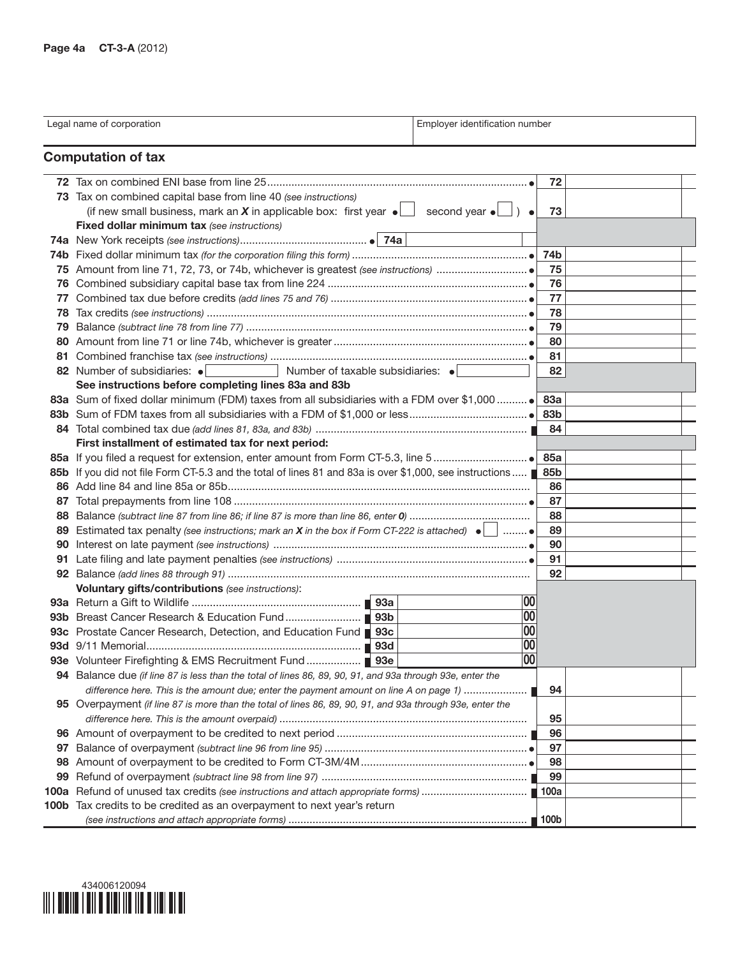|      | Legal name of corporation                                                                                                      | Employer identification number |            |  |
|------|--------------------------------------------------------------------------------------------------------------------------------|--------------------------------|------------|--|
|      | <b>Computation of tax</b>                                                                                                      |                                |            |  |
|      |                                                                                                                                |                                | 72         |  |
|      | 73 Tax on combined capital base from line 40 (see instructions)                                                                |                                |            |  |
|      | (if new small business, mark an X in applicable box: first year $\bullet$ $\Box$ second year $\bullet$ $\Box$                  | $\rightarrow$ $\bullet$        | 73         |  |
|      | Fixed dollar minimum tax (see instructions)                                                                                    |                                |            |  |
|      |                                                                                                                                |                                |            |  |
|      |                                                                                                                                |                                | 74b        |  |
|      |                                                                                                                                |                                | 75         |  |
| 76   |                                                                                                                                |                                | 76         |  |
| 77   |                                                                                                                                |                                | 77         |  |
| 78   |                                                                                                                                |                                | 78         |  |
| 79   |                                                                                                                                |                                | 79         |  |
| 80   |                                                                                                                                |                                | 80         |  |
| 81   |                                                                                                                                |                                | 81         |  |
|      | 82 Number of subsidiaries: •<br>Number of taxable subsidiaries: •                                                              |                                | 82         |  |
|      | See instructions before completing lines 83a and 83b                                                                           |                                |            |  |
|      | 83a Sum of fixed dollar minimum (FDM) taxes from all subsidiaries with a FDM over \$1,000                                      |                                | <b>83a</b> |  |
|      |                                                                                                                                |                                | 83b        |  |
|      |                                                                                                                                |                                | 84         |  |
|      | First installment of estimated tax for next period:                                                                            |                                |            |  |
|      |                                                                                                                                |                                | <b>85a</b> |  |
| 85b  | If you did not file Form CT-5.3 and the total of lines 81 and 83a is over \$1,000, see instructions ■                          |                                | 85b        |  |
|      |                                                                                                                                |                                | 86         |  |
| 87   |                                                                                                                                |                                | 87         |  |
| 88   |                                                                                                                                |                                | 88         |  |
| 89   | Estimated tax penalty (see instructions; mark an <b>X</b> in the box if Form CT-222 is attached) $\bullet$ $\vert \cdot \vert$ |                                | 89         |  |
| 90   |                                                                                                                                |                                | 90         |  |
| 91   |                                                                                                                                |                                | 91         |  |
|      |                                                                                                                                |                                | 92         |  |
|      | Voluntary gifts/contributions (see instructions):                                                                              |                                |            |  |
|      |                                                                                                                                | 00                             |            |  |
|      |                                                                                                                                | 00                             |            |  |
|      | 93c Prostate Cancer Research, Detection, and Education Fund 193c                                                               | 00                             |            |  |
|      | 93d                                                                                                                            | 00                             |            |  |
|      |                                                                                                                                | 00                             |            |  |
|      | 94 Balance due (if line 87 is less than the total of lines 86, 89, 90, 91, and 93a through 93e, enter the                      |                                |            |  |
|      | difference here. This is the amount due; enter the payment amount on line A on page 1)                                         |                                | 94         |  |
|      | 95 Overpayment (if line 87 is more than the total of lines 86, 89, 90, 91, and 93a through 93e, enter the                      |                                |            |  |
|      |                                                                                                                                |                                | 95         |  |
|      |                                                                                                                                |                                | 96         |  |
| 97   |                                                                                                                                |                                | 97         |  |
| 98   |                                                                                                                                |                                | 98         |  |
| 99   |                                                                                                                                |                                | 99         |  |
| 100a |                                                                                                                                |                                |            |  |
| 100b | Tax credits to be credited as an overpayment to next year's return                                                             |                                |            |  |
|      |                                                                                                                                |                                |            |  |

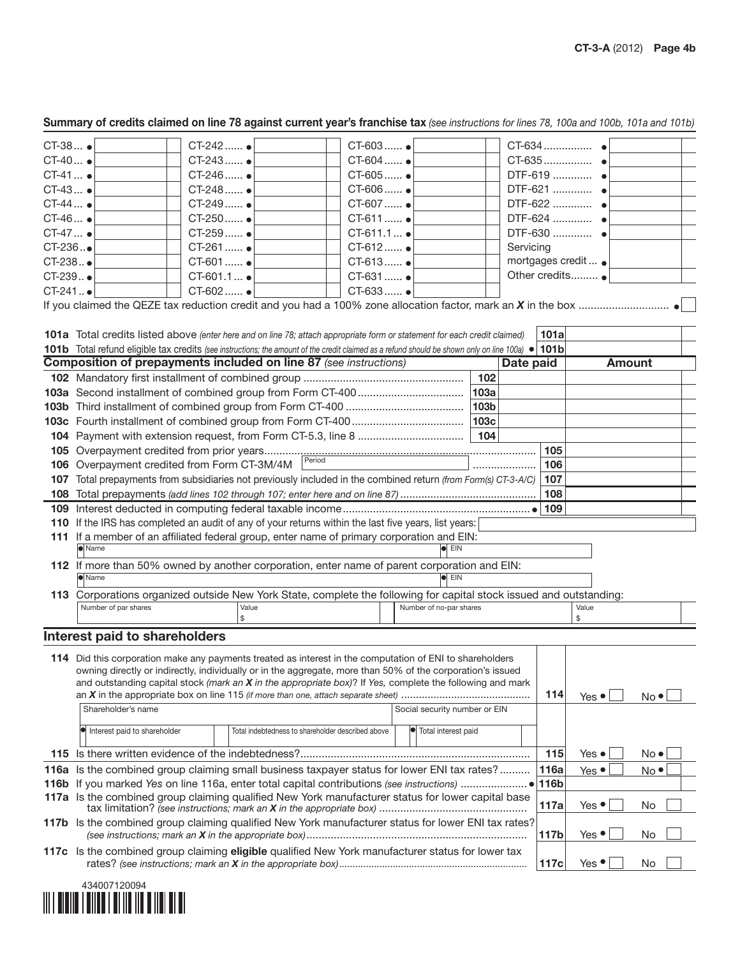| CT-38 •  | CT-242  ●                                                                                                                                        |                                                   | CT-603  ●   |                               |      | CT-634 ●         |                  |                 |  |
|----------|--------------------------------------------------------------------------------------------------------------------------------------------------|---------------------------------------------------|-------------|-------------------------------|------|------------------|------------------|-----------------|--|
| CT-40 ●  | CT-243  ●                                                                                                                                        |                                                   | CT-604  ●   |                               |      | CT-635 •         |                  |                 |  |
| CT-41  ● | CT-246  ●                                                                                                                                        |                                                   | CT-605  ●   |                               |      | DTF-619  •       |                  |                 |  |
| $CT-43$  | CT-248  ●                                                                                                                                        |                                                   | CT-606  ●   |                               |      | DTF-621  •       |                  |                 |  |
| CT-44  ● | CT-249  ●                                                                                                                                        |                                                   | CT-607  ●   |                               |      | DTF-622  .       |                  |                 |  |
| CT-46 •  | CT-250  ●                                                                                                                                        |                                                   | CT-611  ●   |                               |      |                  |                  |                 |  |
| CT-47 ●  | CT-259 ●                                                                                                                                         |                                                   | CT-611.1  ● |                               |      | DTF-630  •       |                  |                 |  |
| CT-236●  | CT-261  ●                                                                                                                                        |                                                   | CT-612  ●   |                               |      | Servicing        |                  |                 |  |
| CT-238•  | CT-601  ●                                                                                                                                        |                                                   | CT-613 ●    |                               |      | mortgages credit |                  |                 |  |
| $CT-239$ | CT-601.1 ●                                                                                                                                       |                                                   | CT-631  ●   |                               |      | Other credits ●  |                  |                 |  |
| $CT-241$ | CT-602  ●                                                                                                                                        |                                                   | CT-633 ●    |                               |      |                  |                  |                 |  |
|          |                                                                                                                                                  |                                                   |             |                               |      |                  |                  |                 |  |
|          |                                                                                                                                                  |                                                   |             |                               |      |                  |                  |                 |  |
|          | 101a Total credits listed above (enter here and on line 78; attach appropriate form or statement for each credit claimed)                        |                                                   |             |                               |      | 101a             |                  |                 |  |
|          | 101b Total refund eligible tax credits (see instructions; the amount of the credit claimed as a refund should be shown only on line 100a) • 101b |                                                   |             |                               |      |                  |                  |                 |  |
|          | <b>Composition of prepayments included on line 87</b> (see instructions)                                                                         |                                                   |             |                               |      | Date paid        | <b>Amount</b>    |                 |  |
|          |                                                                                                                                                  |                                                   |             |                               | 102  |                  |                  |                 |  |
|          |                                                                                                                                                  |                                                   |             |                               |      |                  |                  |                 |  |
|          |                                                                                                                                                  |                                                   |             |                               | 103a |                  |                  |                 |  |
|          |                                                                                                                                                  |                                                   |             |                               | 103b |                  |                  |                 |  |
|          |                                                                                                                                                  |                                                   |             |                               | 103c |                  |                  |                 |  |
|          |                                                                                                                                                  |                                                   |             |                               | 104  |                  |                  |                 |  |
|          |                                                                                                                                                  | Period                                            |             |                               |      | 105              |                  |                 |  |
|          | 106 Overpayment credited from Form CT-3M/4M                                                                                                      |                                                   |             |                               |      | 106              |                  |                 |  |
|          | 107 Total prepayments from subsidiaries not previously included in the combined return (from Form(s) CT-3-A/C)                                   |                                                   |             |                               |      | 107              |                  |                 |  |
|          |                                                                                                                                                  |                                                   |             |                               |      | 108              |                  |                 |  |
|          |                                                                                                                                                  |                                                   |             |                               |      |                  |                  |                 |  |
|          | 110 If the IRS has completed an audit of any of your returns within the last five years, list years:                                             |                                                   |             |                               |      |                  |                  |                 |  |
|          | 111 If a member of an affiliated federal group, enter name of primary corporation and EIN:                                                       |                                                   |             |                               |      |                  |                  |                 |  |
|          | lame                                                                                                                                             |                                                   |             | $\bullet$ EIN                 |      |                  |                  |                 |  |
|          | 112 If more than 50% owned by another corporation, enter name of parent corporation and EIN:                                                     |                                                   |             |                               |      |                  |                  |                 |  |
|          | <b>Name</b>                                                                                                                                      |                                                   |             | $\bullet$ EIN                 |      |                  |                  |                 |  |
|          | 113 Corporations organized outside New York State, complete the following for capital stock issued and outstanding:                              |                                                   |             |                               |      |                  |                  |                 |  |
|          | Number of par shares                                                                                                                             | Value                                             |             | Number of no-par shares       |      |                  | Value            |                 |  |
|          |                                                                                                                                                  | \$                                                |             |                               |      |                  | \$               |                 |  |
|          | Interest paid to shareholders                                                                                                                    |                                                   |             |                               |      |                  |                  |                 |  |
|          |                                                                                                                                                  |                                                   |             |                               |      |                  |                  |                 |  |
|          |                                                                                                                                                  |                                                   |             |                               |      |                  |                  |                 |  |
|          | 114 Did this corporation make any payments treated as interest in the computation of ENI to shareholders                                         |                                                   |             |                               |      |                  |                  |                 |  |
|          | owning directly or indirectly, individually or in the aggregate, more than 50% of the corporation's issued                                       |                                                   |             |                               |      |                  |                  |                 |  |
|          | and outstanding capital stock (mark an X in the appropriate box)? If Yes, complete the following and mark                                        |                                                   |             |                               |      | 114              |                  |                 |  |
|          | Shareholder's name                                                                                                                               |                                                   |             | Social security number or EIN |      |                  | Yes •            | No <sup>•</sup> |  |
|          |                                                                                                                                                  |                                                   |             |                               |      |                  |                  |                 |  |
|          | Interest paid to shareholder                                                                                                                     | Total indebtedness to shareholder described above |             | Total interest paid           |      |                  |                  |                 |  |
|          |                                                                                                                                                  |                                                   |             |                               |      |                  |                  |                 |  |
|          | 115 Is there written evidence of the indebtedness?                                                                                               |                                                   |             |                               |      | 115              | Yes $\bullet$    | No ●            |  |
|          | 116a Is the combined group claiming small business taxpayer status for lower ENI tax rates?                                                      |                                                   |             |                               |      | 116a             | Yes •            | No ●            |  |
|          |                                                                                                                                                  |                                                   |             |                               |      |                  |                  |                 |  |
|          | 117a Is the combined group claiming qualified New York manufacturer status for lower capital base                                                |                                                   |             |                               |      | 117a             | Yes <sup>•</sup> | No.             |  |
|          |                                                                                                                                                  |                                                   |             |                               |      |                  |                  |                 |  |
|          | 117b Is the combined group claiming qualified New York manufacturer status for lower ENI tax rates?                                              |                                                   |             |                               |      | 117b             | Yes <sup>•</sup> | No.             |  |
|          |                                                                                                                                                  |                                                   |             |                               |      |                  |                  |                 |  |
|          | 117c Is the combined group claiming eligible qualified New York manufacturer status for lower tax                                                |                                                   |             |                               |      | 117c             | Yes <sup>•</sup> | No.             |  |



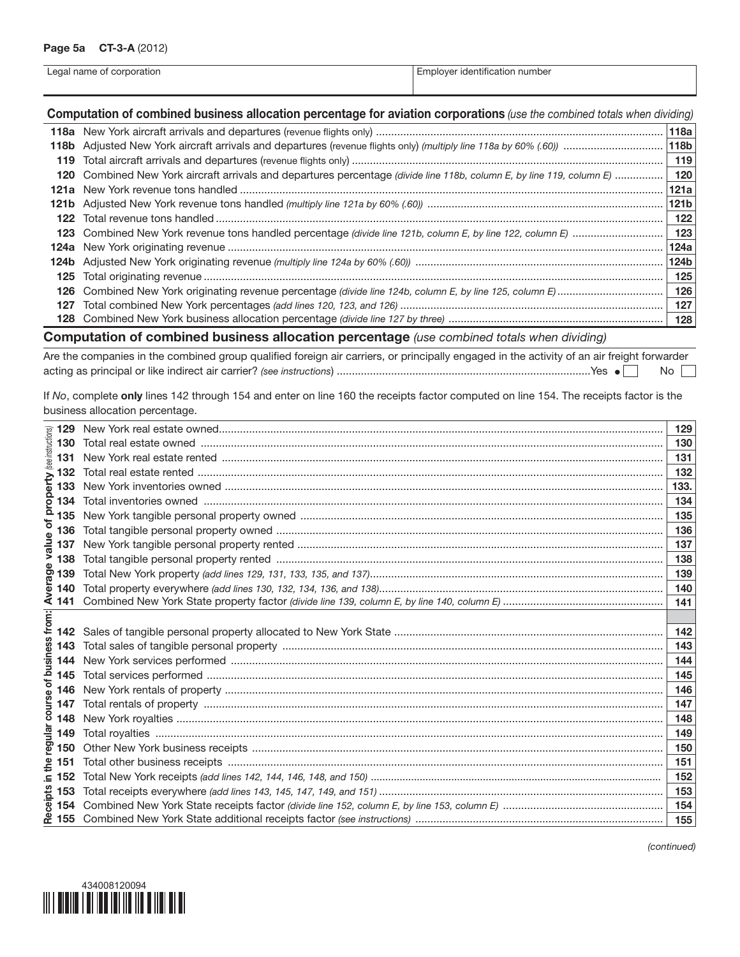Page 5a CT-3-A (2012)

| Legal name of corporation | Employer identification number |
|---------------------------|--------------------------------|
|                           |                                |

# Computation of combined business allocation percentage for aviation corporations *(use the combined totals when dividing)*

|      |                                                                                                                   | 118a             |
|------|-------------------------------------------------------------------------------------------------------------------|------------------|
|      |                                                                                                                   | 118b             |
| 119  |                                                                                                                   | 119              |
| 120  | Combined New York aircraft arrivals and departures percentage (divide line 118b, column E, by line 119, column E) | 120              |
|      |                                                                                                                   | 121a             |
|      |                                                                                                                   | 121 <sub>b</sub> |
| 122. |                                                                                                                   | 122              |
|      |                                                                                                                   | 123              |
|      |                                                                                                                   | 124a             |
|      |                                                                                                                   | 124b             |
| 125  |                                                                                                                   | 125              |
| 126  |                                                                                                                   | 126              |
| 127  |                                                                                                                   | 127              |
|      |                                                                                                                   | 128              |

# Computation of combined business allocation percentage *(use combined totals when dividing)*

Are the companies in the combined group qualified foreign air carriers, or principally engaged in the activity of an air freight forwarder acting as principal or like indirect air carrier? *(see instructions*) ....................................................................................Yes No

If *No*, complete only lines 142 through 154 and enter on line 160 the receipts factor computed on line 154. The receipts factor is the business allocation percentage.

|           |     |                                                                                                                                                                                                                                | 129  |
|-----------|-----|--------------------------------------------------------------------------------------------------------------------------------------------------------------------------------------------------------------------------------|------|
|           |     | 130 Total real estate owned measurement contracts and the contract of the contract of the contract of the contract of the contract of the contract of the contract of the contract of the contract of the contract of the cont | 130  |
|           |     |                                                                                                                                                                                                                                | 131  |
|           |     |                                                                                                                                                                                                                                | 132  |
|           |     |                                                                                                                                                                                                                                | 133. |
|           |     |                                                                                                                                                                                                                                | 134  |
|           |     |                                                                                                                                                                                                                                | 135  |
|           |     |                                                                                                                                                                                                                                | 136  |
|           | 137 |                                                                                                                                                                                                                                | 137  |
| ⋗         |     |                                                                                                                                                                                                                                | 138  |
| <b>g</b>  |     |                                                                                                                                                                                                                                | 139  |
|           | 140 |                                                                                                                                                                                                                                | 140  |
| ∢         | 141 |                                                                                                                                                                                                                                | 141  |
|           |     |                                                                                                                                                                                                                                |      |
|           |     |                                                                                                                                                                                                                                |      |
|           |     |                                                                                                                                                                                                                                | 142  |
|           |     |                                                                                                                                                                                                                                | 143  |
| 5∏        |     |                                                                                                                                                                                                                                | 144  |
| 3         |     |                                                                                                                                                                                                                                | 145  |
|           |     |                                                                                                                                                                                                                                | 146  |
|           |     |                                                                                                                                                                                                                                | 147  |
| course of |     |                                                                                                                                                                                                                                | 148  |
| a         |     |                                                                                                                                                                                                                                | 149  |
|           |     |                                                                                                                                                                                                                                | 150  |
|           |     |                                                                                                                                                                                                                                | 151  |
| $\equiv$  |     |                                                                                                                                                                                                                                | 152  |
| pts       |     |                                                                                                                                                                                                                                | 153  |
|           |     |                                                                                                                                                                                                                                | 154  |



*(continued)*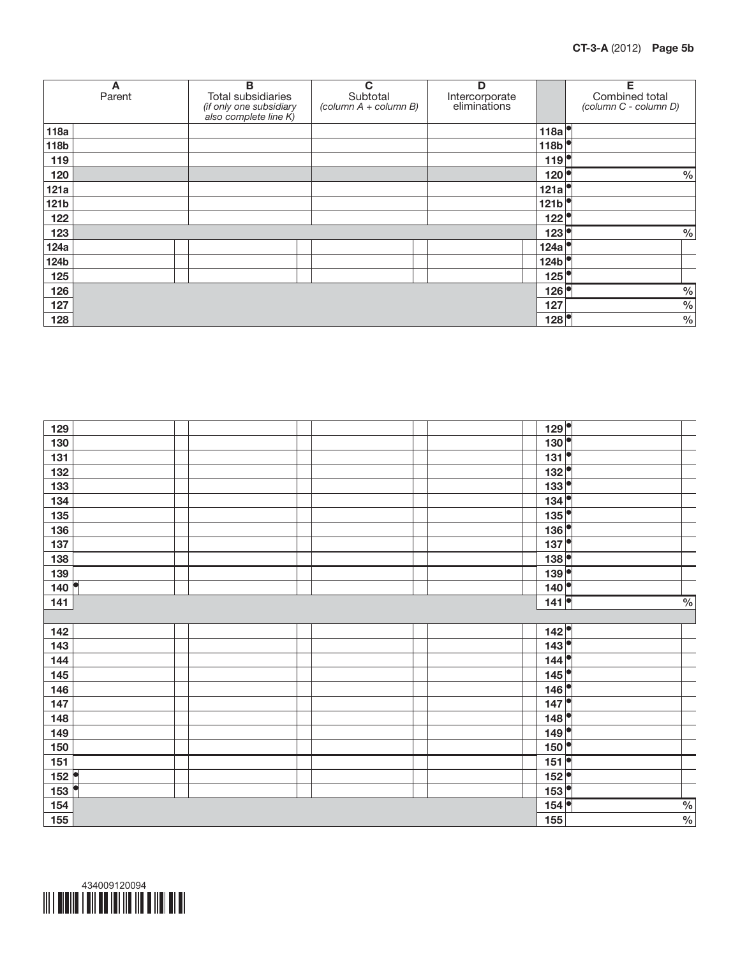

| 129                              |  | 129                                   |                 |
|----------------------------------|--|---------------------------------------|-----------------|
| 130                              |  | 130                                   |                 |
| 131                              |  | 131                                   |                 |
| 132                              |  | $132$ <sup><math>\degree</math></sup> |                 |
| 133                              |  | 133                                   |                 |
| 134                              |  | 134                                   |                 |
| 135                              |  | $135$ <sup><math>\degree</math></sup> |                 |
| 136                              |  | 136                                   |                 |
| 137                              |  | $137$ <sup><math>\degree</math></sup> |                 |
| 138                              |  | 138                                   |                 |
| 139                              |  | 139                                   |                 |
| lo<br>140                        |  | 140                                   |                 |
| $141$                            |  | 141                                   | $\frac{0}{6}$   |
|                                  |  |                                       |                 |
| 142                              |  | 142                                   |                 |
| 143                              |  | 143                                   |                 |
| 144                              |  | O<br>144                              |                 |
| 145                              |  | 145                                   |                 |
| 146                              |  | 146                                   |                 |
| 147                              |  | 147                                   |                 |
| 148                              |  | 148                                   |                 |
| 149                              |  | 149                                   |                 |
| 150                              |  | 150                                   |                 |
| 151                              |  | 151                                   |                 |
| 152                              |  | 152                                   |                 |
| lo:<br>$\overline{\mathbf{153}}$ |  | 153                                   |                 |
| 154                              |  | 154                                   | $\frac{\%}{\%}$ |
| 155                              |  | 155                                   |                 |

|                  | A      | B                                                | $\mathbf C$             | D              |      | Е                     |
|------------------|--------|--------------------------------------------------|-------------------------|----------------|------|-----------------------|
|                  | Parent | Total subsidiaries                               | Subtotal                | Intercorporate |      | Combined total        |
|                  |        | (if only one subsidiary<br>also complete line K) | (column $A$ + column B) | eliminations   |      | (column C - column D) |
|                  |        |                                                  |                         |                |      |                       |
| 118a             |        |                                                  |                         |                | 118a |                       |
| 118b             |        |                                                  |                         |                | 118b |                       |
| 119              |        |                                                  |                         |                | 119  |                       |
| 120              |        |                                                  |                         |                | 120  | $\frac{0}{0}$         |
| 121a             |        |                                                  |                         |                | 121a |                       |
| 121 <sub>b</sub> |        |                                                  |                         |                | 121b |                       |
| 122              |        |                                                  |                         |                | 122  |                       |
| 123              |        |                                                  |                         |                | 123  | $\frac{0}{0}$         |
| 124a             |        |                                                  |                         |                | 124a |                       |
| 124b             |        |                                                  |                         |                | 124b |                       |
| 125              |        |                                                  |                         |                | 125  |                       |
| 126              |        |                                                  |                         |                | 126  | $\%$                  |
| 127              |        |                                                  |                         |                | 127  | $\frac{0}{0}$         |
| 128              |        |                                                  |                         |                | 128  | $\frac{0}{0}$         |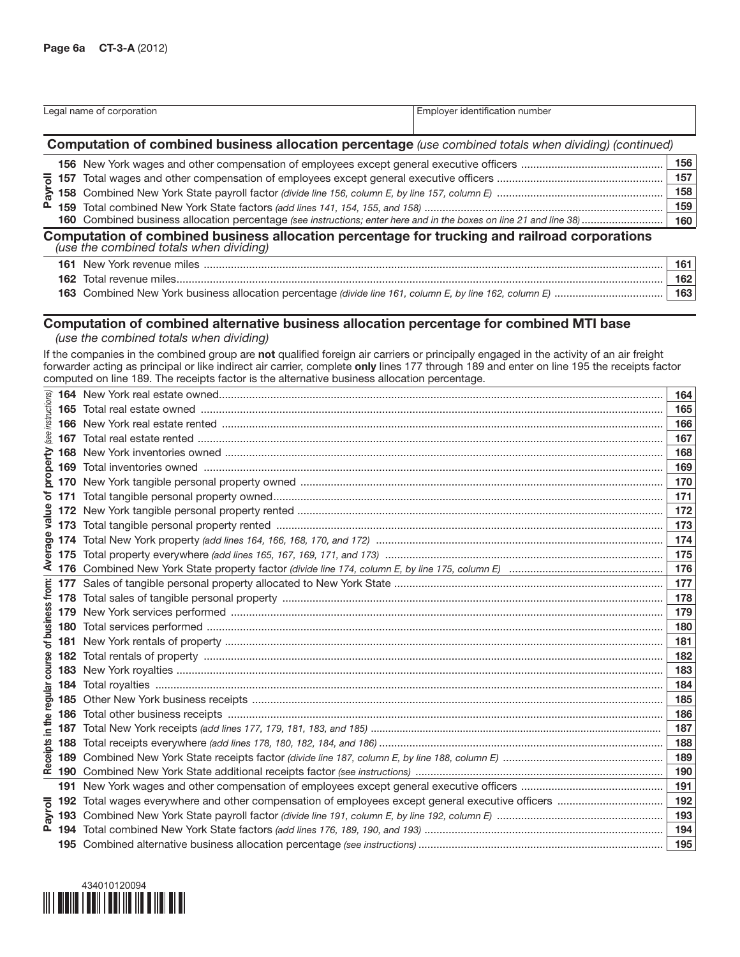| Legal name of corporation<br>. | <br>. Emplover identification number |
|--------------------------------|--------------------------------------|
|                                |                                      |
|                                |                                      |

### Computation of combined business allocation percentage *(use combined totals when dividing) (continued)*

|  | 156<br>157<br>158<br>159<br>160 |
|--|---------------------------------|
|  |                                 |
|  |                                 |
|  |                                 |
|  |                                 |

Computation of combined business allocation percentage for trucking and railroad corporations *(use the combined totals when dividing)*

| 161 | New York revenue miles                                                                                  |  |
|-----|---------------------------------------------------------------------------------------------------------|--|
|     | <b>162</b> Total revenue miles                                                                          |  |
|     | 163 Combined New York business allocation percentage (divide line 161, column E, by line 162, column E) |  |

## Computation of combined alternative business allocation percentage for combined MTI base

*(use the combined totals when dividing)*

If the companies in the combined group are not qualified foreign air carriers or principally engaged in the activity of an air freight forwarder acting as principal or like indirect air carrier, complete only lines 177 through 189 and enter on line 195 the receipts factor computed on line 189. The receipts factor is the alternative business allocation percentage.

|   |  | 164 |  |  |
|---|--|-----|--|--|
|   |  | 165 |  |  |
|   |  | 166 |  |  |
|   |  | 167 |  |  |
|   |  |     |  |  |
|   |  | 168 |  |  |
|   |  | 169 |  |  |
|   |  | 170 |  |  |
| ৳ |  | 171 |  |  |
|   |  | 172 |  |  |
|   |  | 173 |  |  |
|   |  | 174 |  |  |
|   |  | 175 |  |  |
| ⋖ |  | 176 |  |  |
|   |  | 177 |  |  |
|   |  | 178 |  |  |
|   |  | 179 |  |  |
|   |  |     |  |  |
|   |  |     |  |  |
|   |  | 182 |  |  |
|   |  | 183 |  |  |
|   |  | 184 |  |  |
|   |  | 185 |  |  |
|   |  | 186 |  |  |
|   |  | 187 |  |  |
|   |  | 188 |  |  |
|   |  | 189 |  |  |
|   |  | 190 |  |  |
|   |  | 191 |  |  |
|   |  | 192 |  |  |
|   |  | 193 |  |  |
| ൨ |  | 194 |  |  |
|   |  |     |  |  |
|   |  | 195 |  |  |

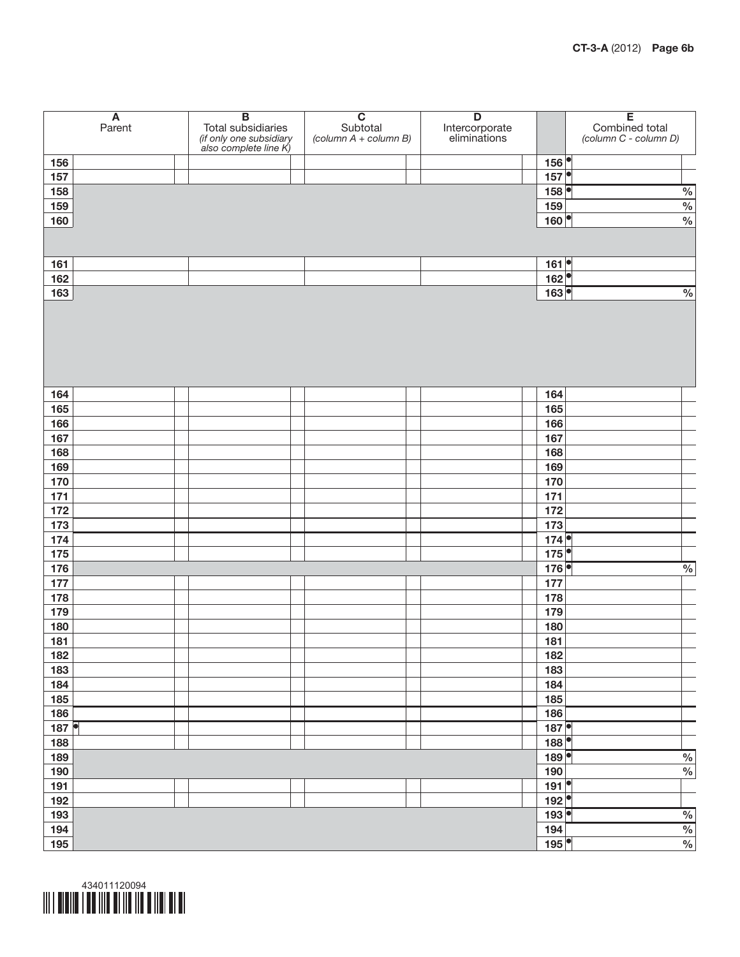

|            | $\overline{\mathbf{A}}$ | $\overline{\mathbf{B}}$                                                | $\overline{\mathbf{c}}$           | $\overline{\mathsf{D}}$        |            | $\overline{\mathsf{E}}$                 |
|------------|-------------------------|------------------------------------------------------------------------|-----------------------------------|--------------------------------|------------|-----------------------------------------|
|            | Parent                  | Total subsidiaries<br>(if only one subsidiary<br>also complete line K) | Subtotal<br>(column A + column B) | Intercorporate<br>eliminations |            | Combined total<br>(column C - column D) |
| 156        |                         |                                                                        |                                   |                                | 156        |                                         |
| 157        |                         |                                                                        |                                   |                                | 157        |                                         |
| 158        |                         |                                                                        |                                   |                                | 158        |                                         |
| 159        |                         |                                                                        |                                   |                                | 159        | $\frac{\frac{9}{6}}{\frac{9}{6}}$       |
| 160        |                         |                                                                        |                                   |                                | 160        |                                         |
|            |                         |                                                                        |                                   |                                |            |                                         |
| 161        |                         |                                                                        |                                   |                                | 161        |                                         |
| 162        |                         |                                                                        |                                   |                                | 162        |                                         |
| 163        |                         |                                                                        |                                   |                                | 163        | $\frac{0}{6}$                           |
|            |                         |                                                                        |                                   |                                |            |                                         |
| 164        |                         |                                                                        |                                   |                                | 164        |                                         |
| 165        |                         |                                                                        |                                   |                                | 165        |                                         |
| 166        |                         |                                                                        |                                   |                                | 166        |                                         |
| 167        |                         |                                                                        |                                   |                                | 167        |                                         |
| 168        |                         |                                                                        |                                   |                                | 168        |                                         |
| 169        |                         |                                                                        |                                   |                                | 169        |                                         |
| 170        |                         |                                                                        |                                   |                                | 170        |                                         |
| 171        |                         |                                                                        |                                   |                                | 171        |                                         |
| 172        |                         |                                                                        |                                   |                                | 172        |                                         |
| 173        |                         |                                                                        |                                   |                                | 173        |                                         |
| 174        |                         |                                                                        |                                   |                                | 174        |                                         |
| 175        |                         |                                                                        |                                   |                                | 175        |                                         |
| 176        |                         |                                                                        |                                   |                                | 176        | $\frac{0}{6}$                           |
| 177        |                         |                                                                        |                                   |                                | 177        |                                         |
| 178        |                         |                                                                        |                                   |                                | 178        |                                         |
| 179        |                         |                                                                        |                                   |                                | 179        |                                         |
| 180        |                         |                                                                        |                                   |                                | 180        |                                         |
| 181        |                         |                                                                        |                                   |                                | 181        |                                         |
| 182<br>183 |                         |                                                                        |                                   |                                | 182<br>183 |                                         |
| 184        |                         |                                                                        |                                   |                                | 184        |                                         |
| 185        |                         |                                                                        |                                   |                                | 185        |                                         |
| 186        |                         |                                                                        |                                   |                                | 186        |                                         |
| 187        |                         |                                                                        |                                   |                                | 187        |                                         |
| 188        |                         |                                                                        |                                   |                                | 188        |                                         |
| 189        |                         |                                                                        |                                   |                                | 189        |                                         |
| 190        |                         |                                                                        |                                   |                                | 190        | $\frac{\%}{\%}$                         |
| 191        |                         |                                                                        |                                   |                                | 191        |                                         |
| 192        |                         |                                                                        |                                   |                                | 192        |                                         |
| 193        |                         |                                                                        |                                   |                                | 193        |                                         |
| 194        |                         |                                                                        |                                   |                                | 194        |                                         |
| 195        |                         |                                                                        |                                   |                                | 195        | $\frac{\%}{\%}$<br>%                    |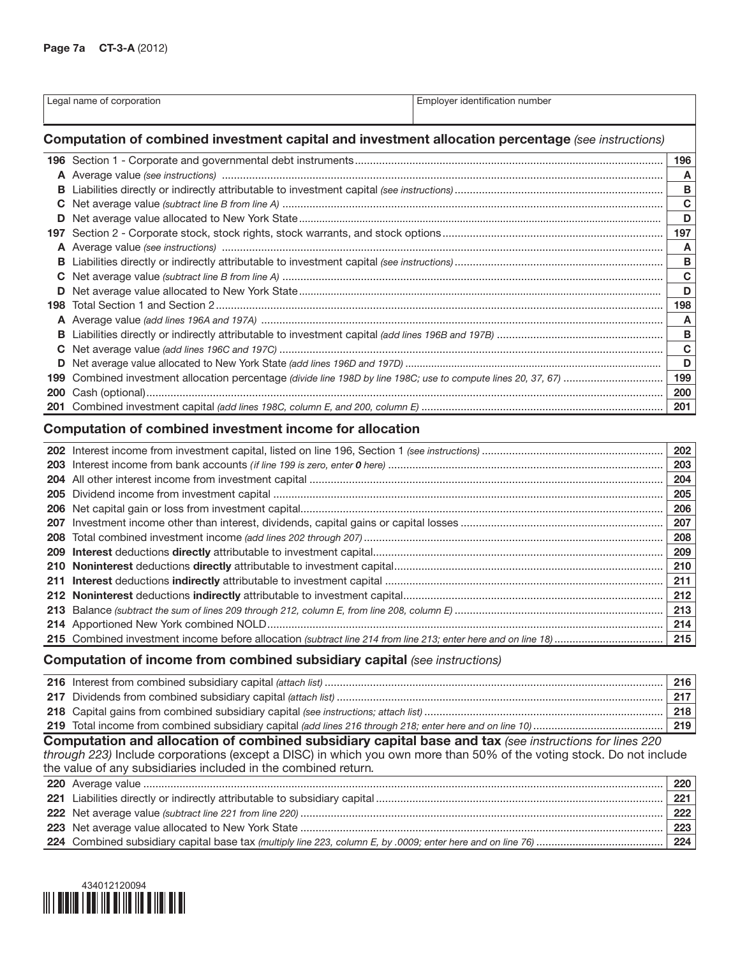|                                                                                                           | Legal name of corporation<br>Employer identification number |  |              |  |  |  |
|-----------------------------------------------------------------------------------------------------------|-------------------------------------------------------------|--|--------------|--|--|--|
| <b>Computation of combined investment capital and investment allocation percentage</b> (see instructions) |                                                             |  |              |  |  |  |
|                                                                                                           |                                                             |  | 196          |  |  |  |
|                                                                                                           |                                                             |  | A            |  |  |  |
| в                                                                                                         |                                                             |  | $\, {\bf B}$ |  |  |  |
| C                                                                                                         |                                                             |  | $\mathbf c$  |  |  |  |
| D                                                                                                         |                                                             |  | D            |  |  |  |
| 197                                                                                                       |                                                             |  | 197          |  |  |  |
|                                                                                                           |                                                             |  | A            |  |  |  |
| в                                                                                                         |                                                             |  | $\mathbf B$  |  |  |  |
| C                                                                                                         |                                                             |  | $\mathbf c$  |  |  |  |
| D                                                                                                         |                                                             |  | D            |  |  |  |
| 198                                                                                                       |                                                             |  | 198          |  |  |  |
|                                                                                                           |                                                             |  | A            |  |  |  |
| в                                                                                                         |                                                             |  | B            |  |  |  |
| C.                                                                                                        |                                                             |  | $\mathbf C$  |  |  |  |
|                                                                                                           | D                                                           |  |              |  |  |  |
| 199                                                                                                       |                                                             |  | 199          |  |  |  |
| <b>200</b>                                                                                                |                                                             |  | 200          |  |  |  |
| 201                                                                                                       |                                                             |  | 201          |  |  |  |

# Computation of combined investment income for allocation

|     | 202 |
|-----|-----|
| 203 | 203 |
| 204 | 204 |
|     | 205 |
|     | 206 |
| 207 | 207 |
|     | 208 |
| 209 | 209 |
|     | 210 |
| 211 | 211 |
|     | 212 |
| 213 | 213 |
| 214 | 214 |
|     | 215 |

# Computation of income from combined subsidiary capital *(see instructions)*

|  | 216 |
|--|-----|
|  | 217 |
|  | 218 |
|  | 219 |

# Computation and allocation of combined subsidiary capital base and tax *(see instructions for lines 220 through 223)* Include corporations (except a DISC) in which you own more than 50% of the voting stock. Do not include the value of any subsidiaries included in the combined return*.*

|  | $\frac{220}{221}$ |
|--|-------------------|
|  |                   |
|  | $222$             |
|  | 223               |
|  | 224               |

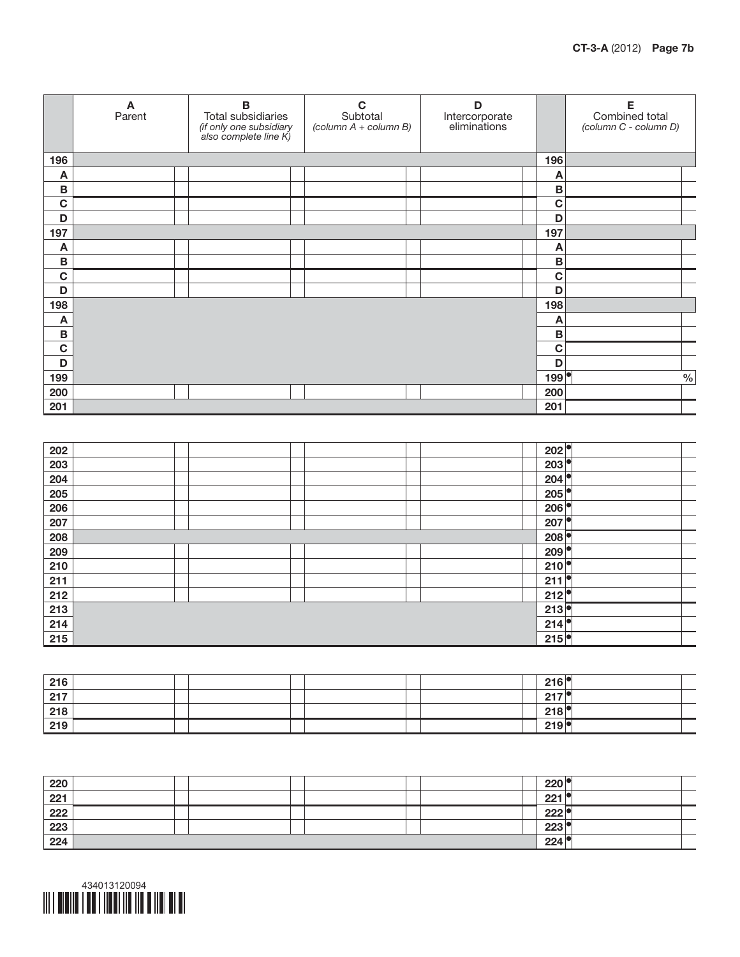|              | A<br>Parent | B<br>Total subsidiaries<br>(if only one subsidiary<br>also complete line K) | $\mathbf C$<br>Subtotal<br>$\left(\text{column } A + \text{column } B\right)$ | D<br>Intercorporate<br>eliminations |              | E<br>Combined total<br>(column C - column D) |
|--------------|-------------|-----------------------------------------------------------------------------|-------------------------------------------------------------------------------|-------------------------------------|--------------|----------------------------------------------|
| 196          |             |                                                                             |                                                                               |                                     | 196          |                                              |
| A            |             |                                                                             |                                                                               |                                     | A            |                                              |
| $\, {\bf B}$ |             |                                                                             |                                                                               |                                     | $\, {\bf B}$ |                                              |
| $\mathbf C$  |             |                                                                             |                                                                               |                                     | $\mathbf C$  |                                              |
| D            |             |                                                                             |                                                                               |                                     | D            |                                              |
| 197          |             |                                                                             |                                                                               |                                     | 197          |                                              |
| A            |             |                                                                             |                                                                               |                                     | A            |                                              |
| $\, {\bf B}$ |             |                                                                             |                                                                               |                                     | $\, {\bf B}$ |                                              |
| $\mathbf C$  |             |                                                                             |                                                                               |                                     | $\mathbf C$  |                                              |
| D            |             |                                                                             |                                                                               |                                     | D            |                                              |
| 198          |             |                                                                             |                                                                               |                                     | 198          |                                              |
| A            |             |                                                                             |                                                                               |                                     | A            |                                              |
| $\, {\bf B}$ |             |                                                                             |                                                                               |                                     | B            |                                              |
| $\mathbf C$  |             |                                                                             |                                                                               |                                     | C            |                                              |
| $\mathbf D$  |             |                                                                             |                                                                               |                                     | D            |                                              |
| 199          |             |                                                                             |                                                                               |                                     | 199          | $\%$                                         |
| 200          |             |                                                                             |                                                                               |                                     | 200          |                                              |
| 201          |             |                                                                             |                                                                               |                                     | 201          |                                              |

| 202 | 202                |
|-----|--------------------|
| 203 | 203                |
| 204 | 204                |
| 205 | $205$ <sup>e</sup> |
| 206 | 206                |
| 207 | 207                |
| 208 | 208                |
| 209 | 209                |
| 210 | 210                |
| 211 | 211                |
| 212 | 212                |
| 213 | 213                |
| 214 | 214                |
| 215 | 215                |

| 216 |  |  |  | $216$ <sup>e</sup> |  |
|-----|--|--|--|--------------------|--|
| 217 |  |  |  | 217                |  |
| 218 |  |  |  | 218                |  |
| 219 |  |  |  | 219                |  |

| 220 | 220 |
|-----|-----|
| 221 | 221 |
| 222 | 222 |
| 223 | 223 |
| 224 | 224 |